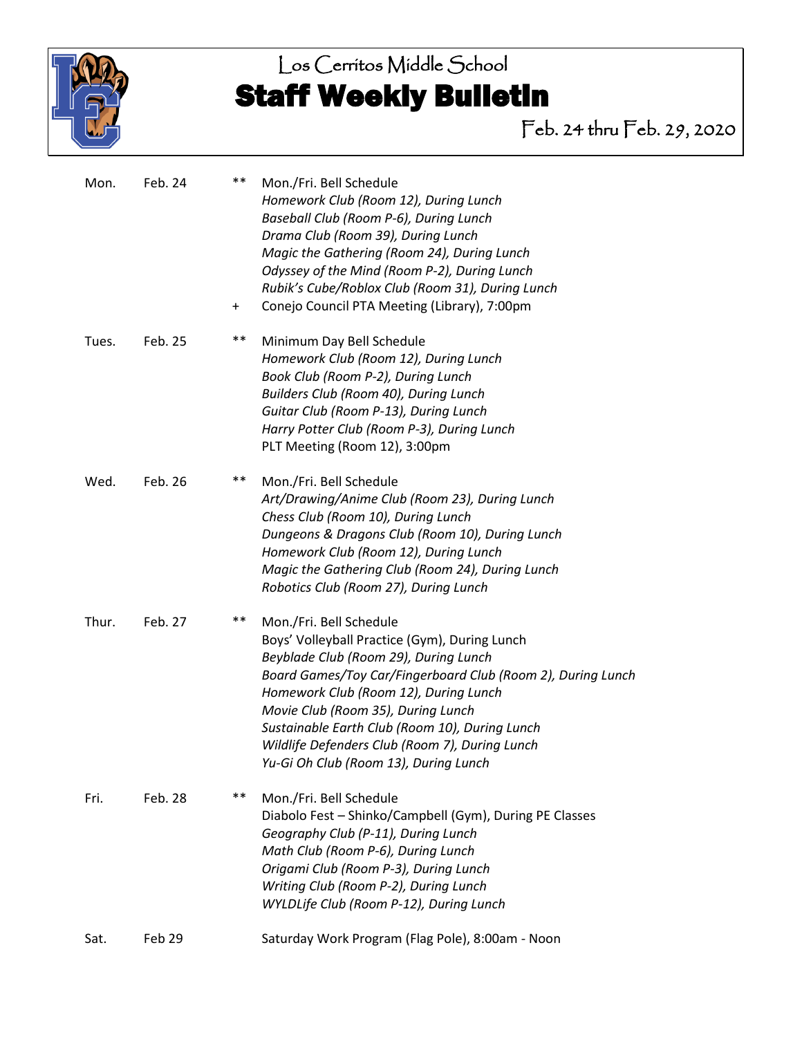

# Los Cerritos Middle School Staff Weekly Bulletin

Feb. 24 thru Feb. 29, 2020

| Mon.  | Feb. 24 | $***$     | Mon./Fri. Bell Schedule<br>Homework Club (Room 12), During Lunch<br>Baseball Club (Room P-6), During Lunch<br>Drama Club (Room 39), During Lunch<br>Magic the Gathering (Room 24), During Lunch<br>Odyssey of the Mind (Room P-2), During Lunch<br>Rubik's Cube/Roblox Club (Room 31), During Lunch                                                                                                          |
|-------|---------|-----------|--------------------------------------------------------------------------------------------------------------------------------------------------------------------------------------------------------------------------------------------------------------------------------------------------------------------------------------------------------------------------------------------------------------|
|       |         | $\ddot{}$ | Conejo Council PTA Meeting (Library), 7:00pm                                                                                                                                                                                                                                                                                                                                                                 |
| Tues. | Feb. 25 | $***$     | Minimum Day Bell Schedule<br>Homework Club (Room 12), During Lunch<br>Book Club (Room P-2), During Lunch<br>Builders Club (Room 40), During Lunch<br>Guitar Club (Room P-13), During Lunch<br>Harry Potter Club (Room P-3), During Lunch<br>PLT Meeting (Room 12), 3:00pm                                                                                                                                    |
| Wed.  | Feb. 26 | $***$     | Mon./Fri. Bell Schedule<br>Art/Drawing/Anime Club (Room 23), During Lunch<br>Chess Club (Room 10), During Lunch<br>Dungeons & Dragons Club (Room 10), During Lunch<br>Homework Club (Room 12), During Lunch<br>Magic the Gathering Club (Room 24), During Lunch<br>Robotics Club (Room 27), During Lunch                                                                                                     |
| Thur. | Feb. 27 | $***$     | Mon./Fri. Bell Schedule<br>Boys' Volleyball Practice (Gym), During Lunch<br>Beyblade Club (Room 29), During Lunch<br>Board Games/Toy Car/Fingerboard Club (Room 2), During Lunch<br>Homework Club (Room 12), During Lunch<br>Movie Club (Room 35), During Lunch<br>Sustainable Earth Club (Room 10), During Lunch<br>Wildlife Defenders Club (Room 7), During Lunch<br>Yu-Gi Oh Club (Room 13), During Lunch |
| Fri.  | Feb. 28 | $***$     | Mon./Fri. Bell Schedule<br>Diabolo Fest - Shinko/Campbell (Gym), During PE Classes<br>Geography Club (P-11), During Lunch<br>Math Club (Room P-6), During Lunch<br>Origami Club (Room P-3), During Lunch<br>Writing Club (Room P-2), During Lunch<br>WYLDLife Club (Room P-12), During Lunch                                                                                                                 |
| Sat.  | Feb 29  |           | Saturday Work Program (Flag Pole), 8:00am - Noon                                                                                                                                                                                                                                                                                                                                                             |